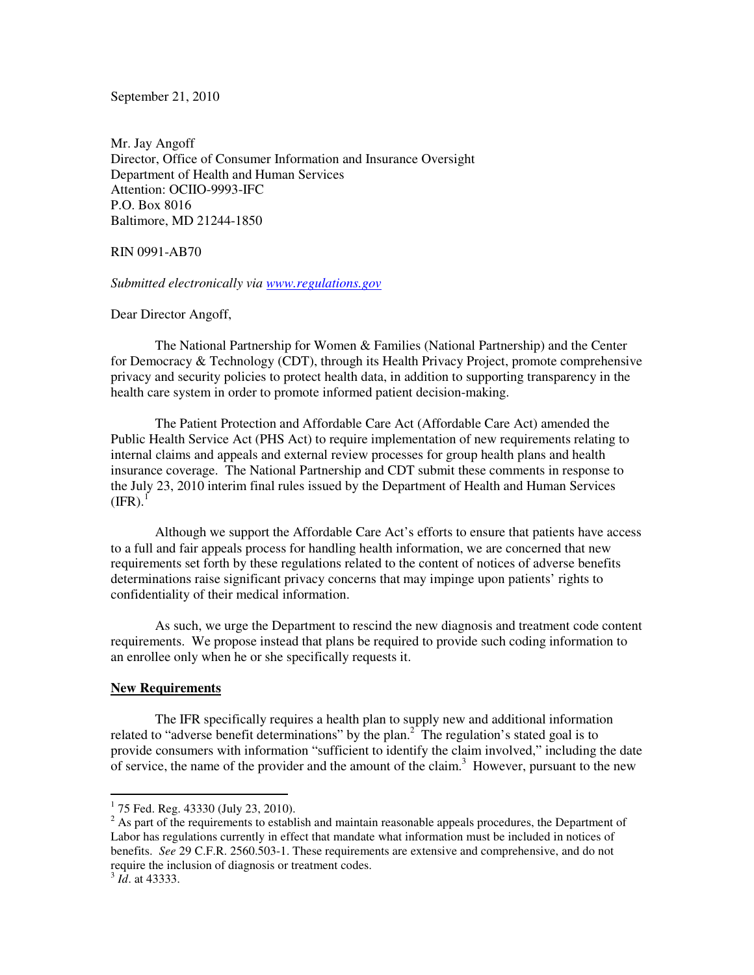September 21, 2010

Mr. Jay Angoff Director, Office of Consumer Information and Insurance Oversight Department of Health and Human Services Attention: OCIIO-9993-IFC P.O. Box 8016 Baltimore, MD 21244-1850

RIN 0991-AB70

*Submitted electronically via www.regulations.gov*

Dear Director Angoff,

The National Partnership for Women & Families (National Partnership) and the Center for Democracy & Technology (CDT), through its Health Privacy Project, promote comprehensive privacy and security policies to protect health data, in addition to supporting transparency in the health care system in order to promote informed patient decision-making.

The Patient Protection and Affordable Care Act (Affordable Care Act) amended the Public Health Service Act (PHS Act) to require implementation of new requirements relating to internal claims and appeals and external review processes for group health plans and health insurance coverage. The National Partnership and CDT submit these comments in response to the July 23, 2010 interim final rules issued by the Department of Health and Human Services  $(IFR).$ <sup>1</sup>

Although we support the Affordable Care Act's efforts to ensure that patients have access to a full and fair appeals process for handling health information, we are concerned that new requirements set forth by these regulations related to the content of notices of adverse benefits determinations raise significant privacy concerns that may impinge upon patients' rights to confidentiality of their medical information.

As such, we urge the Department to rescind the new diagnosis and treatment code content requirements. We propose instead that plans be required to provide such coding information to an enrollee only when he or she specifically requests it.

## **New Requirements**

The IFR specifically requires a health plan to supply new and additional information related to "adverse benefit determinations" by the plan.<sup>2</sup> The regulation's stated goal is to provide consumers with information "sufficient to identify the claim involved," including the date of service, the name of the provider and the amount of the claim.<sup>3</sup> However, pursuant to the new

<sup>&</sup>lt;sup>1</sup> 75 Fed. Reg. 43330 (July 23, 2010).

 $2^2$  As part of the requirements to establish and maintain reasonable appeals procedures, the Department of Labor has regulations currently in effect that mandate what information must be included in notices of benefits. *See* 29 C.F.R. 2560.503-1. These requirements are extensive and comprehensive, and do not require the inclusion of diagnosis or treatment codes.

<sup>3</sup> *Id*. at 43333.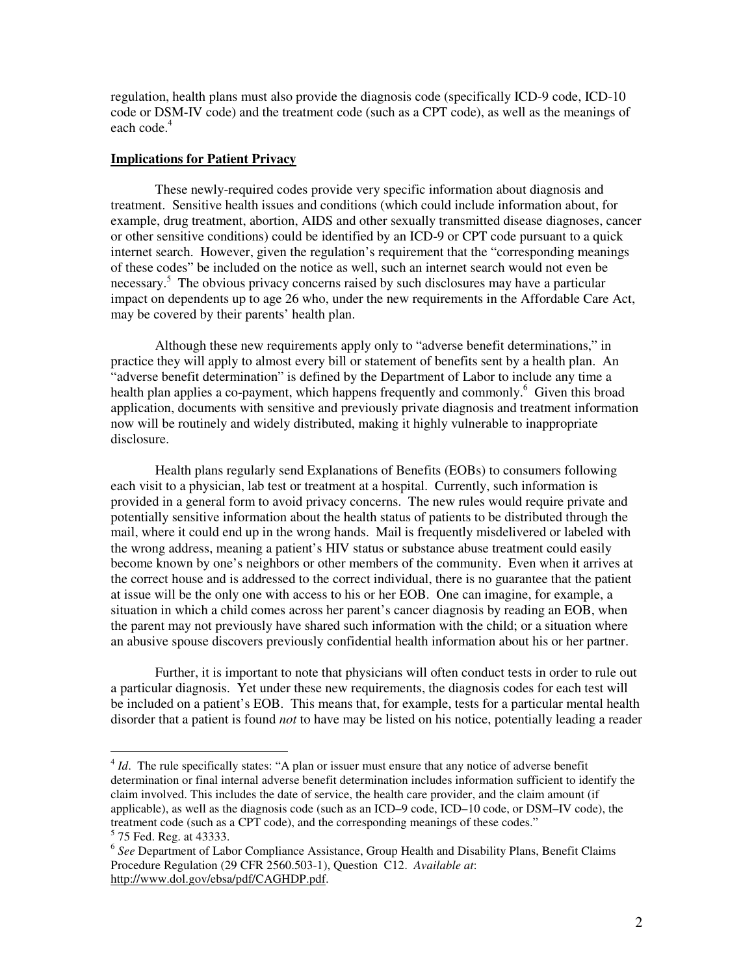regulation, health plans must also provide the diagnosis code (specifically ICD-9 code, ICD-10 code or DSM-IV code) and the treatment code (such as a CPT code), as well as the meanings of each code.<sup>4</sup>

## **Implications for Patient Privacy**

These newly-required codes provide very specific information about diagnosis and treatment. Sensitive health issues and conditions (which could include information about, for example, drug treatment, abortion, AIDS and other sexually transmitted disease diagnoses, cancer or other sensitive conditions) could be identified by an ICD-9 or CPT code pursuant to a quick internet search. However, given the regulation's requirement that the "corresponding meanings of these codes" be included on the notice as well, such an internet search would not even be necessary.<sup>5</sup> The obvious privacy concerns raised by such disclosures may have a particular impact on dependents up to age 26 who, under the new requirements in the Affordable Care Act, may be covered by their parents' health plan.

 Although these new requirements apply only to "adverse benefit determinations," in practice they will apply to almost every bill or statement of benefits sent by a health plan. An "adverse benefit determination" is defined by the Department of Labor to include any time a health plan applies a co-payment, which happens frequently and commonly.<sup>6</sup> Given this broad application, documents with sensitive and previously private diagnosis and treatment information now will be routinely and widely distributed, making it highly vulnerable to inappropriate disclosure.

Health plans regularly send Explanations of Benefits (EOBs) to consumers following each visit to a physician, lab test or treatment at a hospital. Currently, such information is provided in a general form to avoid privacy concerns. The new rules would require private and potentially sensitive information about the health status of patients to be distributed through the mail, where it could end up in the wrong hands. Mail is frequently misdelivered or labeled with the wrong address, meaning a patient's HIV status or substance abuse treatment could easily become known by one's neighbors or other members of the community. Even when it arrives at the correct house and is addressed to the correct individual, there is no guarantee that the patient at issue will be the only one with access to his or her EOB. One can imagine, for example, a situation in which a child comes across her parent's cancer diagnosis by reading an EOB, when the parent may not previously have shared such information with the child; or a situation where an abusive spouse discovers previously confidential health information about his or her partner.

Further, it is important to note that physicians will often conduct tests in order to rule out a particular diagnosis. Yet under these new requirements, the diagnosis codes for each test will be included on a patient's EOB. This means that, for example, tests for a particular mental health disorder that a patient is found *not* to have may be listed on his notice, potentially leading a reader

<sup>&</sup>lt;sup>4</sup> *Id*. The rule specifically states: "A plan or issuer must ensure that any notice of adverse benefit determination or final internal adverse benefit determination includes information sufficient to identify the claim involved. This includes the date of service, the health care provider, and the claim amount (if applicable), as well as the diagnosis code (such as an ICD–9 code, ICD–10 code, or DSM–IV code), the treatment code (such as a CPT code), and the corresponding meanings of these codes."

<sup>&</sup>lt;sup>5</sup> 75 Fed. Reg. at 43333.

<sup>&</sup>lt;sup>6</sup> See Department of Labor Compliance Assistance, Group Health and Disability Plans, Benefit Claims Procedure Regulation (29 CFR 2560.503-1), Question C12. *Available at*: http://www.dol.gov/ebsa/pdf/CAGHDP.pdf.